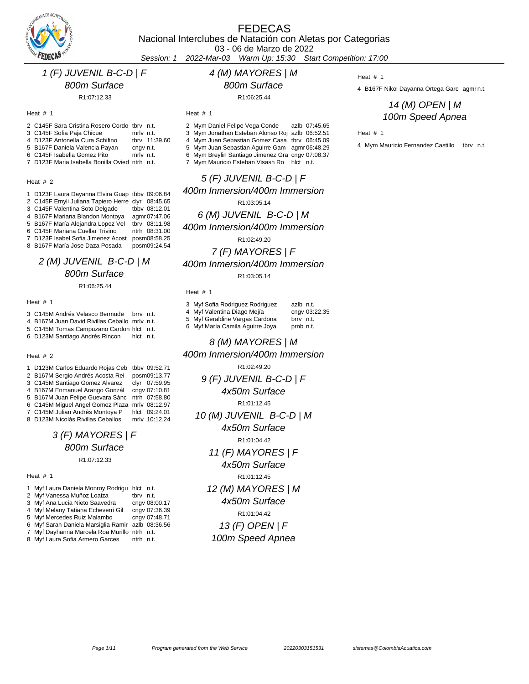

# FEDECAS

Nacional Interclubes de Natación con Aletas por Categorias

03 - 06 de Marzo de 2022

Session: 1 2022-Mar-03 Warm Up: 15:30 Start Competition: 17:00

### 1 (F) JUVENIL B-C-D | F

800m Surface

R1:07:12.33

### Heat # 1

- 2 C145F Sara Cristina Rosero Cordo tbrv n.t. 3 C145F Sofia Paja Chicue mrlv n.t.<br>4 D123F Antonella Cura Schifino tbrv 11:39.60
- 4 D123F Antonella Cura Schifino
- 5 B167F Daniela Valencia Payan cngv n.t.<br>6 C145F Isabella Gomez Pito mrlv n.t.
- 6 C145F Isabella Gomez Pito
- 7 D123F Maria Isabella Bonilla Ovied ntrh n.t.

### Heat # 2

| 1 D123F Laura Dayanna Elvira Guap tbby 09:06.84   |               |
|---------------------------------------------------|---------------|
| 2 C145F Emyli Juliana Tapiero Herre clyr 08:45.65 |               |
| 3 C145F Valentina Soto Delgado                    | tbbv 08:12.01 |
| 4 B167F Mariana Blandon Montoya                   | agmr 07:47.06 |
| 5 B167F María Alejandra Lopez Vel                 | tbrv 08:11.98 |
| 6 C145F Mariana Cuellar Trivino                   | ntrh 08:31.00 |
| 7 D123F Isabel Sofia Jimenez Acost                | posm08:58.25  |
| 8 B167F María Jose Daza Posada                    | posm09:24.54  |

### 2 (M) JUVENIL B-C-D | M 800m Surface R1:06:25.44

### Heat # 1

3 C145M Andrés Velasco Bermude brrv n.t.

- 4 B167M Juan David Rivillas Ceballo mrlv n.t.
- 5 C145M Tomas Campuzano Cardon hlct n.t.
- 6 D123M Santiago Andrés Rincon hlct n.t.

#### Heat # 2

| 1 D123M Carlos Eduardo Rojas Ceb               | tbby 09:52.71 |
|------------------------------------------------|---------------|
| 2 B167M Sergio Andrés Acosta Rei               | posm09:13.77  |
| 3 C145M Santiago Gomez Alvarez                 | clvr 07:59.95 |
| 4 B167M Enmanuel Arango Gonzál                 | cngv 07:10.81 |
| 5 B167M Juan Felipe Guevara Sánc               | ntrh 07:58.80 |
| 6 C145M Miquel Angel Gomez Plaza mrlv 08:12.97 |               |
| 7 C145M Julian Andrés Montoya P                | hlct 09:24.01 |
| 8 D123M Nicolás Rivillas Ceballos              | mrlv 10:12.24 |

# 3 (F) MAYORES | F 800m Surface

### R1:07:12.33

#### Heat # 1

| 1. | Myf Laura Daniela Monroy Rodrigu hlct n.t.        |      |               |
|----|---------------------------------------------------|------|---------------|
|    | 2 Myf Vanessa Muñoz Loaiza                        | tbrv | n.t.          |
|    | 3 Myf Ana Lucia Nieto Saavedra                    |      | cngv 08:00.17 |
|    | 4 Myf Melany Tatiana Echeverri Gil                |      | cngv 07:36.39 |
|    | 5 Myf Mercedes Ruiz Malambo                       |      | cngv 07:48.71 |
|    | 6 Myf Sarah Daniela Marsiglia Ramir azlb 08:36.56 |      |               |
| 7  | Myf Dayhanna Marcela Roa Murillo ntrh n.t.        |      |               |
|    | 8 Myf Laura Sofia Armero Garces                   | ntrh | n.t.          |

### 800m Surface

R1:06:25.44

4 (M) MAYORES | M

Heat # 1

- 2 Mym Daniel Felipe Vega Conde azlb 07:45.65
- 3 Mym Jonathan Esteban Alonso Roj azlb 06:52.51
- 4 Mym Juan Sebastian Gomez Casa tbrv 06:45.09
- 5 Mym Juan Sebastian Aguirre Gam agmr 06:48.29
- 6 Mym Breylin Santiago Jimenez Gra cngv 07:08.37
- 7 Mym Mauricio Esteban Visash Ro hlct n.t.

## 5 (F) JUVENIL B-C-D | F 400m Inmersion/400m Immersion R1:03:05.14

6 (M) JUVENIL B-C-D | M

400m Inmersion/400m Immersion

R1:02:49.20

7 (F) MAYORES | F

400m Inmersion/400m Immersion

R1:03:05.14

#### Heat # 1

| 3 Myf Sofia Rodriguez Rodriguez | azlb n.t.     |
|---------------------------------|---------------|
| 4 Myf Valentina Diago Mejía     | cngv 03:22.35 |
| 5 Myf Geraldine Vargas Cardona  | brry n.t.     |
| 6 Myf María Camila Aguirre Joya | prnb n.t.     |
|                                 |               |

### 8 (M) MAYORES | M

400m Inmersion/400m Immersion

R1:02:49.20

9 (F) JUVENIL B-C-D | F 4x50m Surface R1:01:12.45 10 (M) JUVENIL B-C-D | M

> 4x50m Surface R1:01:04.42

### 11 (F) MAYORES | F

4x50m Surface

R1:01:12.45

# 12 (M) MAYORES | M

4x50m Surface

### R1:01:04.42

# 13 (F) OPEN | F

# 100m Speed Apnea

#### Heat # 1

4 B167F Nikol Dayanna Ortega Garc agmr n.t.

### 14 (M) OPEN | M 100m Speed Apnea

### Heat # 1

4 Mym Mauricio Fernandez Castillo tbrv n.t.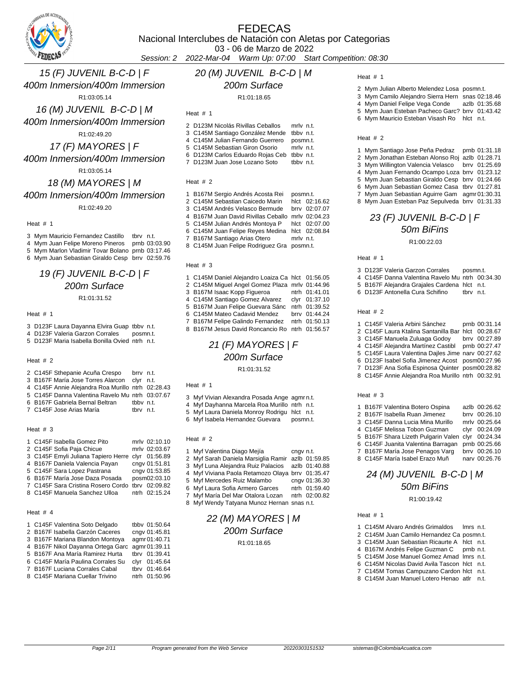

03 - 06 de Marzo de 2022

Session: 2 2022-Mar-04 Warm Up: 07:00 Start Competition: 08:30

15 (F) JUVENIL B-C-D | F 400m Inmersion/400m Immersion

 R1:03:05.14 16 (M) JUVENIL B-C-D | M 400m Inmersion/400m Immersion

R1:02:49.20

17 (F) MAYORES | F 400m Inmersion/400m Immersion R1:03:05.14

# 18 (M) MAYORES | M 400m Inmersion/400m Immersion

R1:02:49.20

Heat # 1

Mym Mauricio Fernandez Castillo tbrv n.t.

- Mym Juan Felipe Moreno Pineros prnb 03:03.90
- Mym Marlon Vladimir Tovar Bolano prnb 03:17.46
- Mym Juan Sebastian Giraldo Cesp brrv 02:59.76

### 19 (F) JUVENIL B-C-D | F 200m Surface R1:01:31.52

### Heat # 1

- D123F Laura Dayanna Elvira Guap tbbv n.t.
- D123F Valeria Garzon Corrales posmn.t.
- D123F Maria Isabella Bonilla Ovied ntrh n.t.

### Heat # 2

| 2 C145F Sthepanie Acuña Crespo                    | brry n.t. |  |
|---------------------------------------------------|-----------|--|
| 3 B167F María Jose Torres Alarcon clyr n.t.       |           |  |
| 4 C145F Annie Alejandra Roa Murillo ntrh 02:28.43 |           |  |
| 5 C145F Danna Valentina Ravelo Mu ntrh 03:07.67   |           |  |
| 6 B167F Gabriela Bernal Beltran                   | tbby n.t. |  |
| 7 C145F Jose Arias María                          | thry n.t. |  |

#### Heat # 3

| 1 C145F Isabella Gomez Pito         | mrlv 02:10.10 |
|-------------------------------------|---------------|
| 2 C145F Sofia Paja Chicue           | mrlv 02:03.67 |
| 3 C145F Emyli Juliana Tapiero Herre | clyr 01:56.89 |
| 4 B167F Daniela Valencia Payan      | cngv 01:51.81 |
| 5 C145F Sara Lopez Pastrana         | cngv 01:53.85 |
| 6 B167F María Jose Daza Posada      | posm02:03.10  |
| 7 C145F Sara Cristina Rosero Cordo  | tbrv 02:09.82 |
| 8 C145F Manuela Sanchez Ulloa       | ntrh 02:15.24 |
|                                     |               |

### Heat # 4

| 1 C145F Valentina Soto Delgado                  | tbbv 01:50.64 |
|-------------------------------------------------|---------------|
| 2 B167F Isabella Garzón Caceres                 | cngv 01:45.81 |
| 3 B167F Mariana Blandon Montoya                 | agmr 01:40.71 |
| 4 B167F Nikol Dayanna Ortega Garc agmr 01:39.11 |               |
| 5 B167F Ana María Ramirez Hurta                 | tbrv 01:39.41 |
| 6 C145F María Paulina Corrales Su               | clyr 01:45.64 |
| 7 B167F Luciana Corrales Cabal                  | tbrv 01:46.64 |
| 8 C145F Mariana Cuellar Trivino                 | ntrh 01:50.96 |
|                                                 |               |

### 20 (M) JUVENIL B-C-D | M

200m Surface

R1:01:18.65

| 2 D123M Nicolás Rivillas Ceballos | mrly n.t. |
|-----------------------------------|-----------|
| 3 C145M Santiago González Mende   | tbby n.t. |
| 4 C145M Julian Fernando Guerrero  | posmn.t.  |
| 5 C145M Sebastian Giron Osorio    | mrly n.t. |
| 6 D123M Carlos Eduardo Rojas Ceb  | tbby n.t. |
| 7 D123M Juan Jose Lozano Soto     | tbby n.t. |

### Heat # 2

 $H = 4$ 

| 1 B167M Sergio Andrés Acosta Rei               | posmn.t.  |               |
|------------------------------------------------|-----------|---------------|
| 2 C145M Sebastian Caicedo Marin                |           | hlct 02:16.62 |
| 3 C145M Andrés Velasco Bermude                 |           | brrv 02:07.07 |
| 4 B167M Juan David Rivillas Ceballo            |           | mrlv 02:04.23 |
| 5 C145M Julian Andrés Montoya P                |           | hlct 02:07.00 |
| 6 C145M Juan Felipe Reyes Medina hlct 02:08.84 |           |               |
| 7 B167M Santiago Arias Otero                   | mrlv n.t. |               |
| 8 C145M Juan Felipe Rodriguez Gra              | posmn.t.  |               |
|                                                |           |               |
|                                                |           |               |

### Heat # 3

| 1 C145M Daniel Alejandro Loaiza Ca hlct 01:56.05 |               |
|--------------------------------------------------|---------------|
| 2 C145M Miguel Angel Gomez Plaza mrlv 01:44.96   |               |
| 3 B167M Isaac Kopp Figueroa                      | ntrh 01:41.01 |
| 4 C145M Santiago Gomez Alvarez                   | clyr 01:37.10 |
| 5 B167M Juan Felipe Guevara Sánc                 | ntrh 01:39.52 |
| 6 C145M Mateo Cadavid Mendez                     | brry 01:44.24 |
| 7 B167M Felipe Galindo Fernandez                 | ntrh 01:50.13 |
| 8 B167M Jesus David Roncancio Ro                 | ntrh 01:56.57 |

# 21 (F) MAYORES | F 200m Surface

R1:01:31.52

### Heat # 1

Myf Vivian Alexandra Posada Ange agmr n.t.

Myf Dayhanna Marcela Roa Murillo ntrh n.t.

Myf Laura Daniela Monroy Rodrigu hlct n.t.

Myf Isabela Hernandez Guevara posmn.t.

### Heat # 2

| 1 Myf Valentina Diago Mejía                       | cngv n.t. |               |
|---------------------------------------------------|-----------|---------------|
| 2 Myf Sarah Daniela Marsiglia Ramir azlb 01:59.85 |           |               |
| 3 Myf Luna Alejandra Ruiz Palacios azlb 01:40.88  |           |               |
| 4 Myf Viviana Paola Retamozo Olaya brrv 01:35.47  |           |               |
| 5 Myf Mercedes Ruiz Malambo                       |           | cngv 01:36.30 |
| 6 Myf Laura Sofia Armero Garces                   |           | ntrh 01:59.40 |
| 7 Myf María Del Mar Otalora Lozan                 |           | ntrh 02:00.82 |

Myf Wendy Tatyana Munoz Hernan snas n.t.

### 22 (M) MAYORES | M 200m Surface R1:01:18.65

#### Heat # 1

- Mym Julian Alberto Melendez Losa posmn.t.
- Mym Camilo Alejandro Sierra Hern snas 02:18.46
- Mym Daniel Felipe Vega Conde azlb 01:35.68 Mym Juan Esteban Pacheco Garc? brrv 01:43.42
- Mym Mauricio Esteban Visash Ro hlct n.t.

#### Heat # 2

- Mym Santiago Jose Peña Pedraz prnb 01:31.18 Mym Jonathan Esteban Alonso Roj azlb 01:28.71 Mym Willington Valencia Velasco brrv 01:25.69 Mym Juan Fernando Ocampo Loza brrv 01:23.12 Mym Juan Sebastian Giraldo Cesp brrv 01:24.66 Mym Juan Sebastian Gomez Casa tbrv 01:27.81
- Mym Juan Sebastian Aguirre Gam agmr 01:30.31 Mym Juan Esteban Paz Sepulveda brrv 01:31.33

# 23 (F) JUVENIL B-C-D | F 50m BiFins

R1:00:22.03

#### Heat # 1

- D123F Valeria Garzon Corrales posmn.t.
- C145F Danna Valentina Ravelo Mu ntrh 00:34.30
- B167F Alejandra Grajales Cardena hlct n.t.
- D123F Antonella Cura Schifino tbrv n.t.

#### Heat # 2

| 1 C145F Valeria Arbini Sánchez                     | prnb 00:31.14 |
|----------------------------------------------------|---------------|
| 2 C145F Laura Ktalina Santanilla Bar hlct 00:28.67 |               |
| 3 C145F Manuela Zuluaga Godoy                      | brry 00:27.89 |
| 4 C145F Alejandra Martínez Castibl prnb 00:27.47   |               |
| 5 C145F Laura Valentina Dailes Jime narv 00:27.62  |               |
| 6 D123F Isabel Sofia Jimenez Acost posm00:27.96    |               |
| 7 D123F Ana Sofia Espinosa Quinter posm00:28.82    |               |
| 8 C145F Annie Alejandra Roa Murillo ntrh 00:32.91  |               |
|                                                    |               |

### Heat # 3

|  | 1 B167F Valentina Botero Ospina                   | azlb 00:26.62 |
|--|---------------------------------------------------|---------------|
|  | 2 B167F Isabella Ruan Jimenez                     | brrv 00:26.10 |
|  | 3 C145F Danna Lucia Mina Murillo                  | mrlv 00:25.64 |
|  | 4 C145F Melissa Tobon Guzman                      | clyr 00:24.09 |
|  | 5 B167F Shara Lizeth Pulgarin Valen clyr 00:24.34 |               |
|  | 6 C145F Juanita Valentina Barragan                | prnb 00:25.66 |
|  | 7 B167F María Jose Penagos Varg                   | brrv 00:26.10 |
|  | 8 C145F María Isabel Erazo Muñ                    | nary 00:26.76 |

### 24 (M) JUVENIL B-C-D | M 50m BiFins R1:00:19.42

### Heat # 1

C145M Alvaro Andrés Grimaldos lmrs n.t.

- C145M Juan Camilo Hernandez Ca posmn.t. C145M Juan Sebastian Ricaurte A hlct n.t.
- 4 B167M Andrés Felipe Guzman C prnb n.t.
- C145M Jose Manuel Gomez Amad lmrs n.t.
- C145M Nicolas David Avila Tascon hlct n.t.
- C145M Tomas Campuzano Cardon hlct n.t.
- C145M Juan Manuel Lotero Henao atlr n.t.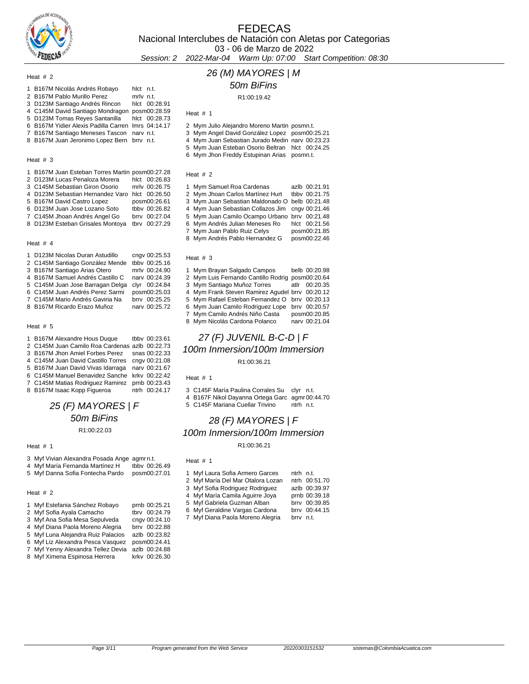

## FEDECAS Nacional Interclubes de Natación con Aletas por Categorias 03 - 06 de Marzo de 2022

Session: 2 2022-Mar-04 Warm Up: 07:00 Start Competition: 08:30

### Heat # 2

| 3 D123M Santiago Andrés Rincon<br>hlct 00:28.91<br>4 C145M David Santiago Mondragon posm00:28.59<br>5 D123M Tomas Reyes Santanilla<br>6 B167M Yidier Alexis Padilla Carren Imrs 04:14.17<br>7 B167M Santiago Meneses Tascon narv n.t. | hlct 00:28.73 |
|---------------------------------------------------------------------------------------------------------------------------------------------------------------------------------------------------------------------------------------|---------------|
| 8 B167M Juan Jeronimo Lopez Bern brrv n.t.                                                                                                                                                                                            |               |
|                                                                                                                                                                                                                                       |               |

### Heat # 3

| 1 B167M Juan Esteban Torres Martin posm00:27.28 |               |
|-------------------------------------------------|---------------|
| 2 D123M Lucas Penaloza Morera                   | hlct 00:26.83 |
| 3 C145M Sebastian Giron Osorio                  | mrlv 00:26.75 |
| 4 D123M Sebastian Hernandez Varo hlct 00:26.50  |               |
|                                                 |               |
| 5 B167M David Castro Lopez                      | posm00:26.61  |
| 6 D123M Juan Jose Lozano Soto                   | tbby 00:26.82 |
| 7 C145M Jhoan Andrés Angel Go                   | brry 00:27.04 |

### Heat # 4

|  | 1 D123M Nicolas Duran Astudillo  | cngv 00:25.53 |
|--|----------------------------------|---------------|
|  | 2 C145M Santiago González Mende  | tbbv 00:25.16 |
|  | 3 B167M Santiago Arias Otero     | mrlv 00:24.90 |
|  | 4 B167M Samuel Andrés Castillo C | nary 00:24.39 |
|  | 5 C145M Juan Jose Barragan Delga | clyr 00:24.84 |
|  | 6 C145M Juan Andrés Perez Sarmi  | posm00:25.03  |
|  | 7 C145M Mario Andrés Gaviria Na  | brrv 00:25.25 |
|  | 8 B167M Ricardo Erazo Muñoz      | nary 00:25.72 |
|  |                                  |               |

### Heat # 5

|  | 1 B167M Alexandre Hous Duque tbby 00:23.61       |  |
|--|--------------------------------------------------|--|
|  | 2 C145M Juan Camilo Roa Cardenas azlb 00:22.73   |  |
|  | 3 B167M Jhon Amiel Forbes Perez snas 00:22.33    |  |
|  | 4 C145M Juan David Castillo Torres cngv 00:21.08 |  |
|  | 5 B167M Juan David Vivas Idarraga narv 00:21.67  |  |
|  | 6 C145M Manuel Benavidez Sanche krkv 00:22.42    |  |
|  | 7 C145M Matias Rodriguez Ramirez prnb 00:23.43   |  |
|  | 8 B167M Isaac Kopp Figueroa htrh 00:24.17        |  |

# 25 (F) MAYORES | F 50m BiFins

R1:00:22.03

#### Heat # 1

|  | 3 Myf Vivian Alexandra Posada Ange agmrn.t. |  |  |  |  |
|--|---------------------------------------------|--|--|--|--|
|--|---------------------------------------------|--|--|--|--|

| 4 Myf María Fernanda Martínez H  | tbby 00:26.49 |
|----------------------------------|---------------|
| 5 Myf Danna Sofia Fontecha Pardo | posm00:27.01  |

# Heat # 2

| 1 Myf Estefania Sánchez Robayo     | prnb 00:25.21    |
|------------------------------------|------------------|
| 2 Myf Sofia Ayala Camacho          | 00:24.79<br>thry |
| 3 Myf Ana Sofia Mesa Sepulveda     | cngv 00:24.10    |
| 4 Myf Diana Paola Moreno Alegria   | brrv 00:22.88    |
| 5 Myf Luna Alejandra Ruiz Palacios | azlb 00:23.82    |
| 6 Myf Liz Alexandra Pesca Vasquez  | posm00:24.41     |
| 7 Myf Yenny Alexandra Tellez Devia | azlb 00:24.88    |
| 8 Myf Ximena Espinosa Herrera      | krkv 00:26.30    |
|                                    |                  |

# 26 (M) MAYORES | M

50m BiFins

R1:00:19.42

| Heat $# 1$ |  |  |
|------------|--|--|
|            |  |  |

- Mym Julio Alejandro Moreno Martin posmn.t.
- 3 Mym Angel David González Lopez posm00:25.21
- Mym Juan Sebastian Jurado Medin narv 00:23.23 Mym Juan Esteban Osorio Beltran hlct 00:24.25
- Mym Jhon Freddy Estupinan Arias posmn.t.
- Heat # 2

| 1 Mym Samuel Roa Cardenas                       | azlb 00:21.91 |
|-------------------------------------------------|---------------|
| 2 Mym Jhoan Carlos Martínez Hurt                | tbby 00:21.75 |
| 3 Mym Juan Sebastian Maldonado O belb 00:21.48  |               |
| 4 Mym Juan Sebastian Collazos Jim cngv 00:21.46 |               |
| 5 Mym Juan Camilo Ocampo Urbano brrv 00:21.48   |               |
| 6 Mym Andrés Julian Meneses Ro                  | hlct 00:21.56 |
| 7 Mym Juan Pablo Ruiz Celys                     | posm00:21.85  |
| 8 Mym Andrés Pablo Hernandez G                  | posm00:22.46  |

### Heat # 3

| 1 Mym Brayan Salgado Campos                     | belb 00:20.98 |
|-------------------------------------------------|---------------|
| 2 Mym Luis Fernando Cantillo Rodrig             | posm00:20.64  |
| 3 Mym Santiago Muñoz Torres                     | atlr 00:20.35 |
| 4 Mym Frank Steven Ramirez Agudel brrv 00:20.12 |               |
| 5 Mym Rafael Esteban Fernandez O brrv 00:20.13  |               |
| 6 Mym Juan Camilo Rodriguez Lope                | brry 00:20.57 |
| 7 Mym Camilo Andrés Niño Casta                  | posm00:20.85  |
| 8 Mym Nicolás Cardona Polanco                   | nary 00:21.04 |

# 27 (F) JUVENIL B-C-D | F

100m Inmersion/100m Immersion

### R1:00:36.21

Heat # 1

 C145F María Paulina Corrales Su clyr n.t. B167F Nikol Dayanna Ortega Garc agmr 00:44.70

C145F Mariana Cuellar Trivino ntrh n.t.

### 28 (F) MAYORES | F

### 100m Inmersion/100m Immersion

R1:00:36.21

| 1 Myf Laura Sofia Armero Garces   | ntrh n.t. |               |
|-----------------------------------|-----------|---------------|
| 2 Myf María Del Mar Otalora Lozan |           | ntrh 00:51.70 |
| 3 Myf Sofia Rodriguez Rodriguez   |           | azlb 00:39.97 |

- 
- Myf Sofia Rodriguez Rodriguez azlb 00:39.97 4 Myf María Camila Aguirre Joya prnb 00:39.18<br>5 Myf Gabriela Guzman Alban brry 00:39.85
- 5 Myf Gabriela Guzman Alban
- Myf Geraldine Vargas Cardona brrv 00:44.15
- 7 Myf Diana Paola Moreno Alegria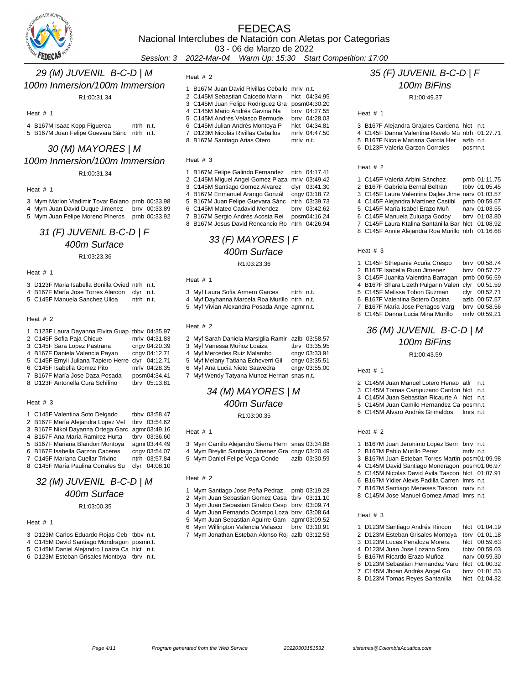

03 - 06 de Marzo de 2022

Session: 3 2022-Mar-04 Warm Up: 15:30 Start Competition: 17:00

### 29 (M) JUVENIL B-C-D | M 100m Inmersion/100m Immersion

R1:00:31.34

Heat # 1

 B167M Isaac Kopp Figueroa ntrh n.t. B167M Juan Felipe Guevara Sánc ntrh n.t.

### 30 (M) MAYORES | M 100m Inmersion/100m Immersion R1:00:31.34

Heat # 1

 Mym Marlon Vladimir Tovar Bolano prnb 00:33.98 Mym Juan David Duque Jimenez brrv 00:33.89 Mym Juan Felipe Moreno Pineros prnb 00:33.92

# 31 (F) JUVENIL B-C-D | F 400m Surface

R1:03:23.36

Heat # 1

- D123F Maria Isabella Bonilla Ovied ntrh n.t.
- B167F María Jose Torres Alarcon clyr n.t.
- C145F Manuela Sanchez Ulloa ntrh n.t.

### Heat # 2

| 1 D123F Laura Dayanna Elvira Guap tbby 04:35.97 |               |
|-------------------------------------------------|---------------|
| 2 C145F Sofia Paja Chicue                       | mrlv 04:31.83 |
| 3 C145F Sara Lopez Pastrana                     | cngv 04:20.39 |
| 4 B167F Daniela Valencia Payan                  | cngv 04:12.71 |
| 5 C145F Emyli Juliana Tapiero Herre             | clyr 04:12.71 |
| 6 C145F Isabella Gomez Pito                     | mrlv 04:28.35 |
| 7 B167F María Jose Daza Posada                  | posm04:34.41  |
| 8 D123F Antonella Cura Schifino                 | tbrv 05:13.81 |
|                                                 |               |

### Heat # 3

| 1 C145F Valentina Soto Delgado                  |      | tbby 03:58.47 |
|-------------------------------------------------|------|---------------|
| 2 B167F María Alejandra Lopez Vel               |      | tbrv 03:54.62 |
| 3 B167F Nikol Dayanna Ortega Garc agmr 03:49.16 |      |               |
| 4 B167F Ana María Ramirez Hurta                 |      | tbrv 03:36.60 |
| 5 B167F Mariana Blandon Montoya                 |      | agmr 03:44.49 |
| 6 B167F Isabella Garzón Caceres                 |      | cngv 03:54.07 |
| 7 C145F Mariana Cuellar Trivino                 |      | ntrh 03:57.84 |
| 8 C145F María Paulina Corrales Su               | clvr | 04:08.10      |

### 32 (M) JUVENIL B-C-D | M 400m Surface R1:03:00.35

### Heat # 1

- D123M Carlos Eduardo Rojas Ceb tbbv n.t.
- C145M David Santiago Mondragon posmn.t.
- C145M Daniel Alejandro Loaiza Ca hlct n.t.
- D123M Esteban Grisales Montoya tbrv n.t.

Heat # 2

| 1 B167M Juan David Rivillas Ceballo mrly n.t.  |           |               |
|------------------------------------------------|-----------|---------------|
| 2 C145M Sebastian Caicedo Marin hlct 04:34.95  |           |               |
| 3 C145M Juan Felipe Rodriguez Gra posm04:30.20 |           |               |
| 4 C145M Mario Andrés Gaviria Na                |           | brry 04:27.55 |
| 5 C145M Andrés Velasco Bermude                 |           | brry 04:28.03 |
| 6 C145M Julian Andrés Montoya P                |           | hlct 04:34.81 |
| 7 D123M Nicolás Rivillas Ceballos              |           | mrlv 04:47.50 |
| 8 B167M Santiago Arias Otero                   | mrlv n.t. |               |

#### Heat  $# 3$

| 1 B167M Felipe Galindo Fernandez ntrh 04:17.41 |               |
|------------------------------------------------|---------------|
| 2 C145M Miguel Angel Gomez Plaza mrlv 03:49.42 |               |
| 3 C145M Santiago Gomez Alvarez                 | clvr 03:41.30 |
| 4 B167M Enmanuel Arango Gonzál                 | cngv 03:18.72 |
| 5 B167M Juan Felipe Guevara Sánc               | ntrh 03:39.73 |
| 6 C145M Mateo Cadavid Mendez                   | brry 03:42.62 |
| 7 B167M Sergio Andrés Acosta Rei               | posm04:16.24  |
| 8 B167M Jesus David Roncancio Ro               | ntrh 04:26.94 |

# 33 (F) MAYORES | F 400m Surface

R1:03:23.36

### Heat # 1

| 3 Myf Laura Sofia Armero Garces              | ntrh n.t. |  |
|----------------------------------------------|-----------|--|
| 4 Myf Dayhanna Marcela Roa Murillo ntrh n.t. |           |  |
|                                              |           |  |

Myf Vivian Alexandra Posada Ange agmr n.t.

### Heat # 2

| 2 Myf Sarah Daniela Marsiglia Ramir azlb 03:58.57 |               |
|---------------------------------------------------|---------------|
| 3 Myf Vanessa Muñoz Loaiza                        | tbrv 03:35.95 |
| 4 Myf Mercedes Ruiz Malambo                       | cngv 03:33.91 |
| 5 Myf Melany Tatiana Echeverri Gil                | cngv 03:35.51 |
| 6 Myf Ana Lucia Nieto Saavedra                    | cngv 03:55.00 |
| 7 Myf Wendy Tatyana Munoz Hernan snas n.t.        |               |

### 34 (M) MAYORES | M 400m Surface R1:03:00.35

#### Heat # 1

 Mym Camilo Alejandro Sierra Hern snas 03:34.88 Mym Breylin Santiago Jimenez Gra cngv 03:20.49 Mym Daniel Felipe Vega Conde azlb 03:30.59

### Heat # 2

- 1 Mym Santiago Jose Peña Pedraz prnb 03:19.28
- Mym Juan Sebastian Gomez Casa tbrv 03:11.10
- Mym Juan Sebastian Giraldo Cesp brrv 03:09.74 Mym Juan Fernando Ocampo Loza brrv 03:08.64
- Mym Juan Sebastian Aguirre Gam agmr 03:09.52
- Mym Willington Valencia Velasco brrv 03:10.91
- Mym Jonathan Esteban Alonso Roj azlb 03:12.53

# 35 (F) JUVENIL B-C-D | F 100m BiFins

R1:00:49.37

### Heat # 1

| 3 B167F Alejandra Grajales Cardena hlct n.t.   |          |  |
|------------------------------------------------|----------|--|
| 4 C145F Danna Valentina Ravelo Muntrh 01:27.71 |          |  |
| 5 B167F Nicole Mariana García Her azlb n.t.    |          |  |
| 6 D123F Valeria Garzon Corrales                | posmn.t. |  |

### Heat # 2

| 1 C145F Valeria Arbini Sánchez                     | prnb 01:11.75 |
|----------------------------------------------------|---------------|
| 2 B167F Gabriela Bernal Beltran                    | tbby 01:05.45 |
| 3 C145F Laura Valentina Dailes Jime                | nary 01:03.57 |
| 4 C145F Alejandra Martínez Castibl                 | prnb 00:59.67 |
| 5 C145F María Isabel Erazo Muñ                     | nary 01:03.55 |
| 6 C145F Manuela Zuluaga Godoy                      | brry 01:03.80 |
| 7 C145F Laura Ktalina Santanilla Bar hlct 01:08.92 |               |
| 8 C145F Annie Alejandra Roa Murillo ntrh 01:16.68  |               |
|                                                    |               |

### Heat # 3

|  | 1 C145F Sthepanie Acuña Crespo                    | brry 00:58.74 |
|--|---------------------------------------------------|---------------|
|  | 2 B167F Isabella Ruan Jimenez                     | brrv 00:57.72 |
|  | 3 C145F Juanita Valentina Barragan                | prnb 00:56.59 |
|  | 4 B167F Shara Lizeth Pulgarin Valen clyr 00:51.59 |               |
|  | 5 C145F Melissa Tobon Guzman                      | clyr 00:52.71 |
|  | 6 B167F Valentina Botero Ospina                   | azlb 00:57.57 |
|  | 7 B167F María Jose Penagos Varg                   | brry 00:58.56 |
|  | 8 C145F Danna Lucia Mina Murillo                  | mrlv 00:59.21 |

# 36 (M) JUVENIL B-C-D | M 100m BiFins

R1:00:43.59

Heat  $# 1$ 

- C145M Juan Manuel Lotero Henao atlr n.t.
- C145M Tomas Campuzano Cardon hlct n.t.
- C145M Juan Sebastian Ricaurte A hlct n.t. C145M Juan Camilo Hernandez Ca posmn.t.
- C145M Alvaro Andrés Grimaldos lmrs n.t.

### Heat # 2

| 1 B167M Juan Jeronimo Lopez Bern brrv n.t.       |           |  |
|--------------------------------------------------|-----------|--|
| 2 B167M Pablo Murillo Perez                      | mrly n.t. |  |
| 3 B167M Juan Esteban Torres Martin posm01:09.98  |           |  |
| 4 C145M David Santiago Mondragon posm01:06.97    |           |  |
| 5 C145M Nicolas David Avila Tascon hlct 01:07.91 |           |  |
| 6 B167M Yidier Alexis Padilla Carren Imrs n.t.   |           |  |

- B167M Santiago Meneses Tascon narv n.t.
- C145M Jose Manuel Gomez Amad lmrs n.t.

| 1 D123M Santiago Andrés Rincon   | hlct 01:04.19 |
|----------------------------------|---------------|
| 2 D123M Esteban Grisales Montoya | tbrv 01:01.18 |
| 3 D123M Lucas Penaloza Morera    | hlct 00:59.63 |
| 4 D123M Juan Jose Lozano Soto    | tbby 00:59.03 |
| 5 B167M Ricardo Erazo Muñoz      | nary 00:59.30 |
| 6 D123M Sebastian Hernandez Varo | hlct 01:00.32 |
| 7 C145M Jhoan Andrés Angel Go    | brry 01:01.53 |
| 8 D123M Tomas Reyes Santanilla   | hlct 01:04.32 |
|                                  |               |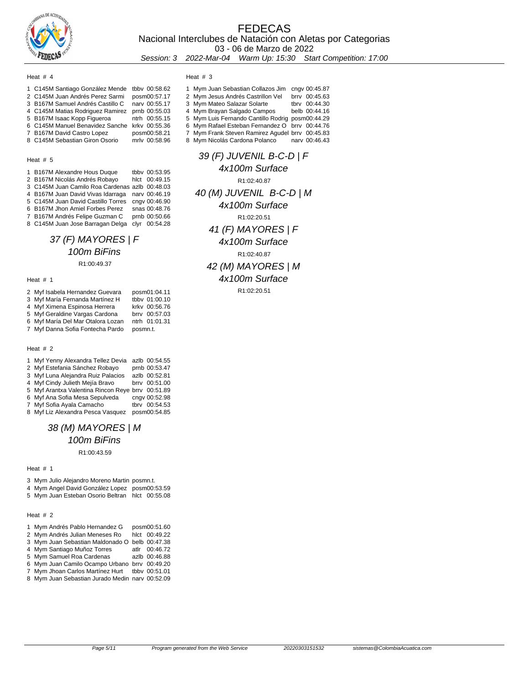

### FEDECAS Nacional Interclubes de Natación con Aletas por Categorias 03 - 06 de Marzo de 2022 Session: 3 2022-Mar-04 Warm Up: 15:30 Start Competition: 17:00

#### Heat # 4

| 1 C145M Santiago González Mende               | tbby 00:58.62 |
|-----------------------------------------------|---------------|
| 2 C145M Juan Andrés Perez Sarmi               | posm00:57.17  |
| 3 B167M Samuel Andrés Castillo C              | nary 00:55.17 |
| 4 C145M Matias Rodriguez Ramirez              | prnb 00:55.03 |
| 5 B167M Isaac Kopp Figueroa                   | ntrh 00:55.15 |
| 6 C145M Manuel Benavidez Sanche krkv 00:55.36 |               |
| 7 B167M David Castro Lopez                    | posm00:58.21  |
| 8 C145M Sebastian Giron Osorio                | mrlv 00:58.96 |

### Heat # 5

| 1 B167M Alexandre Hous Duque                    | tbby 00:53.95 |
|-------------------------------------------------|---------------|
| 2 B167M Nicolás Andrés Robayo                   | hlct 00:49.15 |
| 3 C145M Juan Camilo Roa Cardenas azlb 00:48.03  |               |
| 4 B167M Juan David Vivas Idarraga nary 00:46.19 |               |
| 5 C145M Juan David Castillo Torres              | cngv 00:46.90 |
| 6 B167M Jhon Amiel Forbes Perez                 | snas 00:48.76 |
| 7 B167M Andrés Felipe Guzman C                  | prnb 00:50.66 |
| 8 C145M Juan Jose Barragan Delga                | clyr 00:54.28 |
|                                                 |               |

### 37 (F) MAYORES | F 100m BiFins R1:00:49.37

### Heat # 1

| 2 Myf Isabela Hernandez Guevara   | posm01:04.11  |
|-----------------------------------|---------------|
| 3 Myf María Fernanda Martínez H   | tbby 01:00.10 |
| 4 Myf Ximena Espinosa Herrera     | krkv 00:56.76 |
| 5 Myf Geraldine Vargas Cardona    | brry 00:57.03 |
| 6 Myf María Del Mar Otalora Lozan | ntrh 01:01.31 |
| 7 Myf Danna Sofia Fontecha Pardo  | posmn.t.      |

### Heat # 2

| 1 Myf Yenny Alexandra Tellez Devia                | azlb 00:54.55 |
|---------------------------------------------------|---------------|
| 2 Myf Estefania Sánchez Robayo                    | prnb 00:53.47 |
| 3 Myf Luna Alejandra Ruiz Palacios                | azlb 00:52.81 |
| 4 Myf Cindy Julieth Mejía Bravo                   | brrv 00:51.00 |
| 5 Myf Arantxa Valentina Rincon Reye brrv 00:51.89 |               |
| 6 Myf Ana Sofia Mesa Sepulveda                    | cngv 00:52.98 |
| 7 Myf Sofia Ayala Camacho                         | tbrv 00:54.53 |
| 8 Myf Liz Alexandra Pesca Vasquez                 | posm00:54.85  |

### 38 (M) MAYORES | M 100m BiFins

R1:00:43.59

### Heat # 1

Mym Julio Alejandro Moreno Martin posmn.t.

Mym Angel David González Lopez posm00:53.59

Mym Juan Esteban Osorio Beltran hlct 00:55.08

### Heat # 2

| 1 Mym Andrés Pablo Hernandez G | posm00:51.60      |
|--------------------------------|-------------------|
|                                | $\cdots$ $\cdots$ |

- Mym Andrés Julian Meneses Ro hlct 00:49.22 Mym Juan Sebastian Maldonado O belb 00:47.38
- Mym Santiago Muñoz Torres atlr 00:46.72
- 5 Mym Samuel Roa Cardenas
- Mym Juan Camilo Ocampo Urbano brrv 00:49.20 Mym Jhoan Carlos Martínez Hurt tbbv 00:51.01
- Mym Juan Sebastian Jurado Medin narv 00:52.09

Heat # 3

| 1 Mym Juan Sebastian Collazos Jim                | cngv 00:45.87 |
|--------------------------------------------------|---------------|
| 2 Mym Jesus Andrés Castrillon Vel                | brry 00:45.63 |
| 3 Mym Mateo Salazar Solarte                      | tbrv 00:44.30 |
| 4 Mym Brayan Salgado Campos                      | belb 00:44.16 |
| 5 Mym Luis Fernando Cantillo Rodrig posm00:44.29 |               |
| 6 Mym Rafael Esteban Fernandez O brrv 00:44.76   |               |
| 7 Mym Frank Steven Ramirez Agudel brrv 00:45.83  |               |
| 8 Mym Nicolás Cardona Polanco                    | nary 00:46.43 |

# 39 (F) JUVENIL B-C-D | F 4x100m Surface R1:02:40.87 40 (M) JUVENIL B-C-D | M 4x100m Surface R1:02:20.51 41 (F) MAYORES | F 4x100m Surface R1:02:40.87 42 (M) MAYORES | M 4x100m Surface

R1:02:20.51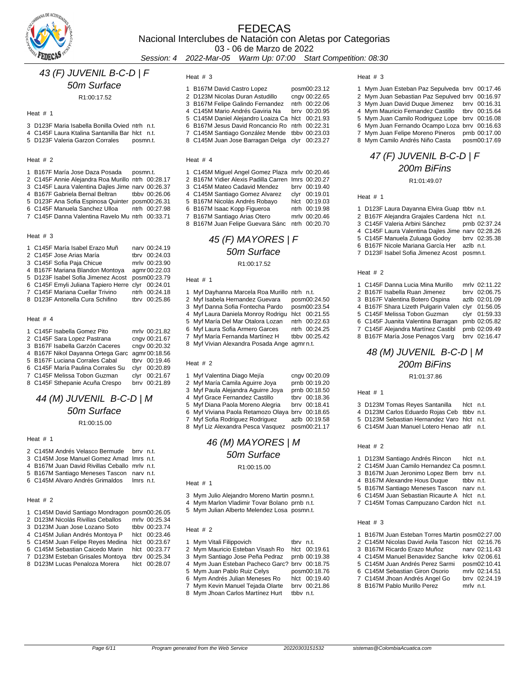

### FEDECAS Nacional Interclubes de Natación con Aletas por Categorias 03 - 06 de Marzo de 2022

Session: 4 2022-Mar-05 Warm Up: 07:00 Start Competition: 08:30

# 43 (F) JUVENIL B-C-D | F

### 50m Surface

R1:00:17.52

### Heat # 1

- D123F Maria Isabella Bonilla Ovied ntrh n.t.
- C145F Laura Ktalina Santanilla Bar hlct n.t. 5 D123F Valeria Garzon Corrales posmn.t.
- 

### Heat # 2

 B167F María Jose Daza Posada posmn.t. C145F Annie Alejandra Roa Murillo ntrh 00:28.17 C145F Laura Valentina Dajles Jime narv 00:26.37 4 B167F Gabriela Bernal Beltran D123F Ana Sofia Espinosa Quinter posm00:26.31 C145F Manuela Sanchez Ulloa ntrh 00:27.98 C145F Danna Valentina Ravelo Mu ntrh 00:33.71

### Heat # 3

| 1 C145F María Isabel Erazo Muñ                    |      | nary 00:24.19 |
|---------------------------------------------------|------|---------------|
| 2 C145F Jose Arias María                          |      | tbrv 00:24.03 |
| 3 C145F Sofia Paja Chicue                         |      | mrlv 00:23.90 |
| 4 B167F Mariana Blandon Montoya                   |      | agmr 00:22.03 |
| 5 D123F Isabel Sofia Jimenez Acost                |      | posm00:23.79  |
| 6 C145F Emyli Juliana Tapiero Herre clyr 00:24.01 |      |               |
| 7 C145F Mariana Cuellar Trivino                   |      | ntrh 00:24.18 |
| 8 D123F Antonella Cura Schifino                   | thry | 00:25.86      |

### Heat # 4

| 1 C145F Isabella Gomez Pito                     |      | mrlv 00:21.82   |
|-------------------------------------------------|------|-----------------|
| 2 C145F Sara Lopez Pastrana                     |      | cngv 00:21.67   |
| 3 B167F Isabella Garzón Caceres                 |      | cngv 00:20.32   |
| 4 B167F Nikol Dayanna Ortega Garc agmr 00:18.56 |      |                 |
| 5 B167F Luciana Corrales Cabal                  |      | tbrv 00:19.46   |
| 6 C145F María Paulina Corrales Su               |      | clyr 00:20.89   |
| 7 C145F Melissa Tobon Guzman                    | clvr | 00:21.67        |
| 8 C145F Sthenanie Acuña Crespo                  |      | $hrrv$ 00:21.89 |

### 44 (M) JUVENIL B-C-D | M 50m Surface

R1:00:15.00

### Heat # 1

| 2 C145M Andrés Velasco Bermude brry n.t.      |           |  |
|-----------------------------------------------|-----------|--|
| 3 C145M Jose Manuel Gomez Amad Imrs n.t.      |           |  |
| 4 B167M Juan David Rivillas Ceballo mrly n.t. |           |  |
| 5 B167M Santiago Meneses Tascon nary n.t.     |           |  |
| 6 C145M Alvaro Andrés Grimaldos               | lmrs n.t. |  |

#### Heat # 2

| 1 C145M David Santiago Mondragon posm00:26.05 |      |               |  |
|-----------------------------------------------|------|---------------|--|
| 2 D123M Nicolás Rivillas Ceballos             |      | mrlv 00:25.34 |  |
| 3 D123M Juan Jose Lozano Soto                 |      | tbby 00:23.74 |  |
| 4 C145M Julian Andrés Montoya P               |      | hlct 00:23.46 |  |
| 5 C145M Juan Felipe Reyes Medina              |      | hlct 00:23.67 |  |
| 6 C145M Sebastian Caicedo Marin               |      | hlct 00:23.77 |  |
| 7 D123M Esteban Grisales Montoya              | tbrv | 00:25.34      |  |
| 8 D123M Lucas Penaloza Morera                 | hlct | 00:28.07      |  |

### Heat # 3

| 1 B167M David Castro Lopez                       | posm00:23.12  |
|--------------------------------------------------|---------------|
| 2 D123M Nicolas Duran Astudillo                  | cngv 00:22.65 |
| 3 B167M Felipe Galindo Fernandez                 | ntrh 00:22.06 |
| 4 C145M Mario Andrés Gaviria Na                  | brry 00:20.95 |
| 5 C145M Daniel Alejandro Loaiza Ca hlct 00:21.93 |               |
| 6 B167M Jesus David Roncancio Ro ntrh 00:22.31   |               |
| 7 C145M Santiago González Mende tbbv 00:23.03    |               |
| 8 C145M Juan Jose Barragan Delga clyr 00:23.27   |               |
|                                                  |               |

### Heat # 4

| 1 C145M Miguel Angel Gomez Plaza mrlv 00:20.46     |  |               |
|----------------------------------------------------|--|---------------|
| 2 B167M Yidier Alexis Padilla Carren Imrs 00:20.27 |  |               |
| 3 C145M Mateo Cadavid Mendez                       |  | brry 00:19.40 |
| 4 C145M Santiago Gomez Alvarez                     |  | clyr 00:19.01 |
| 5 B167M Nicolás Andrés Robayo                      |  | hlct 00:19.03 |
| 6 B167M Isaac Kopp Figueroa                        |  | ntrh 00:19.98 |
| 7 B167M Santiago Arias Otero                       |  | mrlv 00:20.46 |
| 8 B167M Juan Felipe Guevara Sánc ntrh 00:20.70     |  |               |

### 45 (F) MAYORES | F 50m Surface R1:00:17.52

### Heat # 1

| 1 Myf Dayhanna Marcela Roa Murillo ntrh n.t. |               |
|----------------------------------------------|---------------|
| 2 Myf Isabela Hernandez Guevara              | posm00:24.50  |
| 3 Myf Danna Sofia Fontecha Pardo             | posm00:23.54  |
| 4 Myf Laura Daniela Monroy Rodrigu           | hlct 00:21.55 |
| 5 Myf María Del Mar Otalora Lozan            | ntrh 00:22.63 |
| 6 Myf Laura Sofia Armero Garces              | ntrh 00:24.25 |
| 7 Myf María Fernanda Martínez H              | tbby 00:25.42 |
| 8 Myf Vivian Alexandra Posada Ange agmrn.t.  |               |
|                                              |               |

### Heat # 2

| 1 Myf Valentina Diago Mejía                      | cngv 00:20.09 |
|--------------------------------------------------|---------------|
| 2 Myf María Camila Aguirre Joya                  | prnb 00:19.20 |
| 3 Myf Paula Alejandra Aguirre Joya               | prnb 00:18.50 |
| 4 Myf Grace Fernandez Castillo                   | tbrv 00:18.36 |
| 5 Myf Diana Paola Moreno Alegria                 | brry 00:18.41 |
| 6 Myf Viviana Paola Retamozo Olaya brrv 00:18.65 |               |
| 7 Myf Sofia Rodriguez Rodriguez                  | azlb 00:19.58 |
| 8 Myf Liz Alexandra Pesca Vasquez                | posm00:21.17  |
|                                                  |               |

# 46 (M) MAYORES | M 50m Surface

### Heat  $# 1$

- Mym Julio Alejandro Moreno Martin posmn.t.
- Mym Marlon Vladimir Tovar Bolano prnb n.t.
- Mym Julian Alberto Melendez Losa posmn.t.

#### Heat # 2

| 1 Mym Vitali Filippovich                       | tbry n.t. |               |
|------------------------------------------------|-----------|---------------|
| 2 Mym Mauricio Esteban Visash Ro               |           | hlct 00:19.61 |
| 3 Mym Santiago Jose Peña Pedraz                |           | prnb 00:19.38 |
| 4 Mym Juan Esteban Pacheco Garc? brrv 00:18.75 |           |               |
| 5 Mym Juan Pablo Ruiz Celys                    |           | posm00:18.76  |
| 6 Mym Andrés Julian Meneses Ro                 |           | hlct 00:19.40 |

- Mym Kevin Manuel Tejada Olarte brrv 00:21.86
- 8 Mym Jhoan Carlos Martínez Hurt tbby n.t.

### Heat # 3

| 1 Mym Juan Esteban Paz Sepulveda brrv 00:17.46  |               |
|-------------------------------------------------|---------------|
| 2 Mym Juan Sebastian Paz Sepulved brrv 00:16.97 |               |
| 3 Mym Juan David Duque Jimenez brrv 00:16.31    |               |
| 4 Mym Mauricio Fernandez Castillo tbrv 00:15.64 |               |
| 5 Mym Juan Camilo Rodriguez Lope brrv 00:16.08  |               |
| 6 Mym Juan Fernando Ocampo Loza brrv 00:16.63   |               |
| 7 Mym Juan Felipe Moreno Pineros                | prnb 00:17.00 |
| 8 Mym Camilo Andrés Niño Casta                  | posm00:17.69  |
|                                                 |               |

### 47 (F) JUVENIL B-C-D | F 200m BiFins

R1:01:49.07

### Heat # 1

| 1 D123F Laura Dayanna Elvira Guap tbby n.t.       |               |
|---------------------------------------------------|---------------|
| 2 B167F Alejandra Grajales Cardena hlct n.t.      |               |
| 3 C145F Valeria Arbini Sánchez                    | prnb 02:37.24 |
| 4 C145F Laura Valentina Dailes Jime narv 02:28.26 |               |
| 5 C145F Manuela Zuluaga Godoy                     | brry 02:35.38 |
| 6 B167F Nicole Mariana García Her azlb n.t.       |               |
| 7 D123F Isabel Sofia Jimenez Acost posmn.t.       |               |
|                                                   |               |

#### Heat # 2

| 1 C145F Danna Lucia Mina Murillo    | mrlv 02:11.22 |
|-------------------------------------|---------------|
| 2 B167F Isabella Ruan Jimenez       | brrv 02:06.75 |
| 3 B167F Valentina Botero Ospina     | azlb 02:01.09 |
| 4 B167F Shara Lizeth Pulgarin Valen | clyr 01:56.05 |
| 5 C145F Melissa Tobon Guzman        | clyr 01:59.33 |
| 6 C145F Juanita Valentina Barragan  | prnb 02:05.82 |
| 7 C145F Alejandra Martínez Castibl  | prnb 02:09.49 |
| 8 B167F María Jose Penagos Varg     | brrv 02:16.47 |

# 48 (M) JUVENIL B-C-D | M 200m BiFins

R1:01:37.86

Heat # 1

|  |  | 3 D123M Tomas Reyes Santanilla | hict n.t. |  |
|--|--|--------------------------------|-----------|--|
|  |  |                                |           |  |

- D123M Carlos Eduardo Rojas Ceb tbbv n.t.
- D123M Sebastian Hernandez Varo hlct n.t.
- C145M Juan Manuel Lotero Henao atlr n.t.

#### Heat # 2

| 1 D123M Santiago Andrés Rincon             | hlct n.t. |  |
|--------------------------------------------|-----------|--|
| 2 C145M Juan Camilo Hernandez Ca posmn.t.  |           |  |
| 3 B167M Juan Jeronimo Lopez Bern brrv n.t. |           |  |
| 4 B167M Alexandre Hous Duque               | tbby n.t. |  |
| 5 B167M Santiago Meneses Tascon            | nary n.t. |  |

- C145M Juan Sebastian Ricaurte A hlct n.t. C145M Tomas Campuzano Cardon hlct n.t.
- 

### Heat # 3

| 1 B167M Juan Esteban Torres Martin posm02:27.00  |           |               |
|--------------------------------------------------|-----------|---------------|
| 2 C145M Nicolas David Avila Tascon hlct 02:16.76 |           |               |
| 3 B167M Ricardo Erazo Muñoz                      |           | nary 02:11.43 |
| 4 C145M Manuel Benavidez Sanche krkv 02:06.61    |           |               |
| 5 C145M Juan Andrés Perez Sarmi                  |           | posm02:10.41  |
| 6 C145M Sebastian Giron Osorio                   |           | mrlv 02:14.51 |
| 7 C145M Jhoan Andrés Angel Go                    |           | brry 02:24.19 |
| 8 B167M Pablo Murillo Perez                      | mrlv n.t. |               |
|                                                  |           |               |

R1:00:15.00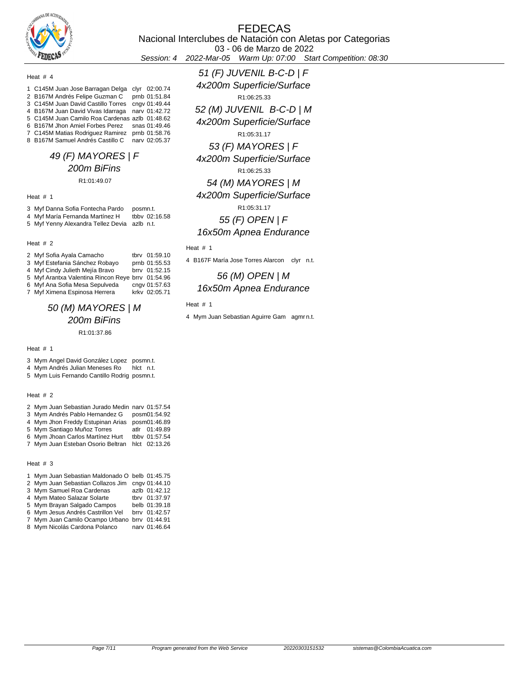

03 - 06 de Marzo de 2022

Session: 4 2022-Mar-05 Warm Up: 07:00 Start Competition: 08:30

### Heat # 4

| 1 C145M Juan Jose Barragan Delga clyr 02:00.74   |               |
|--------------------------------------------------|---------------|
| 2 B167M Andrés Felipe Guzman C                   | prnb 01:51.84 |
| 3 C145M Juan David Castillo Torres cngv 01:49.44 |               |
| 4 B167M Juan David Vivas Idarraga narv 01:42.72  |               |
| 5 C145M Juan Camilo Roa Cardenas azlb 01:48.62   |               |
| 6 B167M Jhon Amiel Forbes Perez snas 01:49.46    |               |
| 7 C145M Matias Rodriguez Ramirez prnb 01:58.76   |               |
| 8 B167M Samuel Andrés Castillo C                 | nary 02:05.37 |

## 49 (F) MAYORES | F 200m BiFins

### R1:01:49.07

### Heat # 1

| 3 Myf Danna Sofia Fontecha Pardo             | posmn.t.      |
|----------------------------------------------|---------------|
| 4 Myf María Fernanda Martínez H              | tbby 02:16.58 |
| 5 Myf Yenny Alexandra Tellez Devia azlb n.t. |               |

#### Heat # 2

| 2 Myf Sofia Ayala Camacho                         | tbrv 01:59.10 |
|---------------------------------------------------|---------------|
| 3 Myf Estefania Sánchez Robayo                    | prnb 01:55.53 |
| 4 Myf Cindy Julieth Mejía Bravo                   | brrv 01:52.15 |
| 5 Myf Arantxa Valentina Rincon Reye brry 01:54.96 |               |
| 6 Myf Ana Sofia Mesa Sepulveda                    | cngv 01:57.63 |
| 7 Myf Ximena Espinosa Herrera                     | krky 02:05 71 |

# 50 (M) MAYORES | M 200m BiFins

R1:01:37.86

#### Heat # 1

|  | 3 Mym Angel David González Lopez posmn.t. |  |
|--|-------------------------------------------|--|
|  |                                           |  |

- 4 Mym Andrés Julian Meneses Ro hlct n.t.
- 5 Mym Luis Fernando Cantillo Rodrig posmn.t.

### Heat # 2

| 2 Mym Juan Sebastian Jurado Medin narv 01:57.54 |               |
|-------------------------------------------------|---------------|
| 3 Mym Andrés Pablo Hernandez G                  | posm01:54.92  |
| 4 Mym Jhon Freddy Estupinan Arias               | posm01:46.89  |
| 5 Mym Santiago Muñoz Torres                     | atlr 01:49.89 |
| 6 Mym Jhoan Carlos Martínez Hurt                | tbby 01:57.54 |
| 7 Mym Juan Esteban Osorio Beltran               | hlct 02:13.26 |
|                                                 |               |

### Heat # 3

| 1 Mym Juan Sebastian Maldonado O belb 01:45.75 |               |
|------------------------------------------------|---------------|
| 2 Mym Juan Sebastian Collazos Jim              | cnav 01:44.10 |
| 3 Mym Samuel Roa Cardenas                      | azlb 01:42.12 |
| 4 Mym Mateo Salazar Solarte                    | tbrv 01:37.97 |
| 5 Mym Brayan Salgado Campos                    | belb 01:39.18 |
| 6 Mym Jesus Andrés Castrillon Vel              | brry 01:42.57 |
| 7 Mym Juan Camilo Ocampo Urbano brrv 01:44.91  |               |
| 8 Mym Nicolás Cardona Polanco                  | nary 01:46.64 |

51 (F) JUVENIL B-C-D | F 4x200m Superficie/Surface R1:06:25.33 52 (M) JUVENIL B-C-D | M 4x200m Superficie/Surface R1:05:31.17 53 (F) MAYORES | F 4x200m Superficie/Surface R1:06:25.33 54 (M) MAYORES | M 4x200m Superficie/Surface R1:05:31.17 55 (F) OPEN | F 16x50m Apnea Endurance

### Heat # 1

4 B167F María Jose Torres Alarcon clyr n.t.

### 56 (M) OPEN | M 16x50m Apnea Endurance

### Heat # 1

4 Mym Juan Sebastian Aguirre Gam agmrn.t.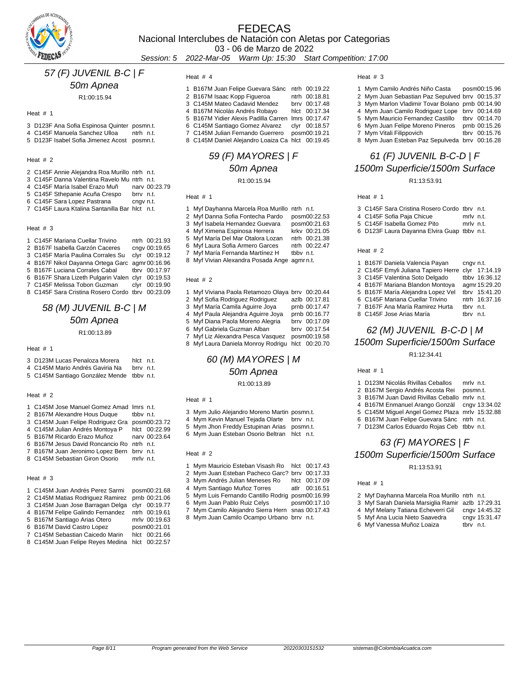

### FEDECAS Nacional Interclubes de Natación con Aletas por Categorias 03 - 06 de Marzo de 2022

Session: 5 2022-Mar-05 Warm Up: 15:30 Start Competition: 17:00

### 57 (F) JUVENIL B-C | F

### 50m Apnea

R1:00:15.94

### Heat # 1

- D123F Ana Sofia Espinosa Quinter posmn.t.
- 4 C145F Manuela Sanchez Ulloa ntrh n.t.
- D123F Isabel Sofia Jimenez Acost posmn.t.

### Heat # 2

- C145F Annie Alejandra Roa Murillo ntrh n.t.
- 3 C145F Danna Valentina Ravelo Muntrh n.t.<br>4 C145F María Isabel Erazo Muñ narv 00:23.79
- 4 C145F María Isabel Erazo Muñ narv 00:2<br>5 C145F Sthepanie Acuña Crespo brrv n.t.
- 5 C145F Sthepanie Acuña Crespo
- 6 C145F Sara Lopez Pastrana cngv n.t.
- C145F Laura Ktalina Santanilla Bar hlct n.t.

#### Heat # 3

| 1 C145F Mariana Cuellar Trivino                     | ntrh 00:21.93 |
|-----------------------------------------------------|---------------|
| 2 B167F Isabella Garzón Caceres                     | cngv 00:19.65 |
| 3 C145F María Paulina Corrales Su                   | clvr 00:19.12 |
| 4 B167F Nikol Dayanna Ortega Garc agmr 00:16.96     |               |
| 5 B167F Luciana Corrales Cabal                      | tbrv 00:17.97 |
| 6 B167F Shara Lizeth Pulgarin Valen clyr 00:19.53   |               |
| 7 C145F Melissa Tobon Guzman                        | clyr 00:19.90 |
| 8. C145F Sara Cristina Rosero Cordo, thrv. 00:23.09 |               |

# 58 (M) JUVENIL B-C | M 50m Apnea

R1:00:13.89

#### Heat # 1

| 3 D123M Lucas Penaloza Morera             | hict n.t. |  |
|-------------------------------------------|-----------|--|
| 4 C145M Mario Andrés Gaviria Na           | brry n.t. |  |
| 5 C145M Santiago González Mende tbby n.t. |           |  |

### Heat # 2

| 1 C145M Jose Manuel Gomez Amad Imrs n.t.       |           |               |
|------------------------------------------------|-----------|---------------|
| 2 B167M Alexandre Hous Duque                   | tbby n.t. |               |
| 3 C145M Juan Felipe Rodriguez Gra posm00:23.72 |           |               |
| 4 C145M Julian Andrés Montoya P                |           | hlct 00:22.99 |
| 5 B167M Ricardo Erazo Muñoz                    |           | nary 00:23.64 |
| 6 B167M Jesus David Roncancio Ro ntrh n.t.     |           |               |
| 7 B167M Juan Jeronimo Lopez Bern brrv n.t.     |           |               |
| 8 C145M Sebastian Giron Osorio mrlv n.t.       |           |               |

### Heat # 3

| 1 C145M Juan Andrés Perez Sarmi posm00:21.68   |               |
|------------------------------------------------|---------------|
| 2 C145M Matias Rodriguez Ramirez prnb 00:21.06 |               |
| 3 C145M Juan Jose Barragan Delga clyr 00:19.77 |               |
| 4 B167M Felipe Galindo Fernandez ntrh 00:19.61 |               |
| 5 B167M Santiago Arias Otero                   | mrlv 00:19.63 |
| 6 B167M David Castro Lopez                     | posm00:21.01  |

- 
- C145M Sebastian Caicedo Marin hlct 00:21.66
- C145M Juan Felipe Reyes Medina hlct 00:22.57

### Heat # 4

| 1 B167M Juan Felipe Guevara Sánc ntrh 00:19.22     |               |
|----------------------------------------------------|---------------|
| 2 B167M Isaac Kopp Figueroa                        | ntrh 00:18.81 |
| 3 C145M Mateo Cadavid Mendez                       | brrv 00:17.48 |
| 4 B167M Nicolás Andrés Robayo                      | hlct 00:17.34 |
| 5 B167M Yidier Alexis Padilla Carren Imrs 00:17.47 |               |
| 6 C145M Santiago Gomez Alvarez                     | clyr 00:18.57 |
| 7 C145M Julian Fernando Guerrero                   | posm00:19.21  |
| 8 C145M Daniel Alejandro Loaiza Ca hlct 00:19.45   |               |

### 59 (F) MAYORES | F 50m Apnea R1:00:15.94

Heat # 1

- Myf Dayhanna Marcela Roa Murillo ntrh n.t.
- Myf Danna Sofia Fontecha Pardo posm00:22.53 3 Myf Isabela Hernandez Guevara
- 
- Myf Ximena Espinosa Herrera krkv 00:21.05
- Myf María Del Mar Otalora Lozan ntrh 00:21.38
- 6 Myf Laura Sofia Armero Garces
- 7 Myf María Fernanda Martínez H tbbv n.t.
- 8 Myf Vivian Alexandra Posada Ange agmrn.t.

### Heat # 2

| 1 Myf Viviana Paola Retamozo Olaya brrv 00:20.44 |               |
|--------------------------------------------------|---------------|
| 2 Myf Sofia Rodriguez Rodriguez                  | azlb 00:17.81 |
| 3 Myf María Camila Aguirre Joya                  | prnb 00:17.47 |
| 4 Myf Paula Alejandra Aquirre Joya               | prnb 00:16.77 |
| 5 Myf Diana Paola Moreno Alegria                 | brrv 00:17.09 |
| 6 Myf Gabriela Guzman Alban                      | brrv 00:17.54 |
| 7 Myf Liz Alexandra Pesca Vasquez                | posm00:19.58  |
| 8 Myf Laura Daniela Monroy Rodrigu hlct 00:20.70 |               |

### 60 (M) MAYORES | M 50m Apnea R1:00:13.89

#### Heat # 1

- Mym Julio Alejandro Moreno Martin posmn.t.
- Mym Kevin Manuel Tejada Olarte brrv n.t.
- Mym Jhon Freddy Estupinan Arias posmn.t.
- Mym Juan Esteban Osorio Beltran hlct n.t.

### Heat # 2

- Mym Mauricio Esteban Visash Ro hlct 00:17.43
- Mym Juan Esteban Pacheco Garc? brrv 00:17.33
- 
- 
- 5 Mym Luis Fernando Cantillo Rodrig posm00:16.99<br>6 Mym Juan Pablo Ruiz Celys posm00:17.10
- 
- 

### Heat # 3

| 1 Mym Camilo Andrés Niño Casta                   | posm00:15.96  |
|--------------------------------------------------|---------------|
| 2 Mym Juan Sebastian Paz Sepulved brrv 00:15.37  |               |
| 3 Mym Marlon Vladimir Tovar Bolano prnb 00:14.90 |               |
| 4 Mym Juan Camilo Rodriguez Lope brry 00:14.69   |               |
| 5 Mym Mauricio Fernandez Castillo tbrv 00:14.70  |               |
| 6 Mym Juan Felipe Moreno Pineros                 | prnb 00:15.26 |
| 7 Mym Vitali Filippovich                         | tbrv 00:15.76 |
| 8 Mym Juan Esteban Paz Sepulveda brrv 00:16.28   |               |

# 61 (F) JUVENIL B-C-D | F 1500m Superficie/1500m Surface

R1:13:53.91

#### Heat # 1

| 3 C145F Sara Cristina Rosero Cordo tbry n.t. |           |  |
|----------------------------------------------|-----------|--|
| 4 C145F Sofia Paja Chicue                    | mrly n.t. |  |
| 5 C145F Isabella Gomez Pito                  | mrlv n.t. |  |
| 6 D123F Laura Dayanna Elvira Guap tbby n.t.  |           |  |

### Heat # 2

| 1 B167F Daniela Valencia Payan                    | cnav n.t. |               |
|---------------------------------------------------|-----------|---------------|
| 2 C145F Emyli Juliana Tapiero Herre clyr 17:14.19 |           |               |
| 3 C145F Valentina Soto Delgado                    |           | tbby 16:36.12 |
| 4 B167F Mariana Blandon Montoya                   |           | agmr 15:29.20 |
| 5 B167F María Alejandra Lopez Vel                 |           | tbrv 15:41.20 |
| 6 C145F Mariana Cuellar Trivino                   |           | ntrh 16:37.16 |
| 7 B167F Ana María Ramirez Hurta                   | thry n.t. |               |
| 8 C145F Jose Arias María                          | tbrv      | n.t.          |

# 62 (M) JUVENIL B-C-D | M 1500m Superficie/1500m Surface

| 1 D123M Nicolás Rivillas Ceballos<br>mrlv n.t. |
|------------------------------------------------|
| 2 B167M Sergio Andrés Acosta Rei<br>posmn.t.   |
| 3 B167M Juan David Rivillas Ceballo mrly n.t.  |
| 4 B167M Enmanuel Arango Gonzál cngy 13:34.02   |
| 5 C145M Miquel Angel Gomez Plaza mrlv 15:32.88 |
| 6 B167M Juan Felipe Guevara Sánc ntrh n.t.     |
| 7 D123M Carlos Eduardo Rojas Ceb tbbv n.t.     |
|                                                |
| 63 (F) MAYORES   F                             |
|                                                |

# 1500m Superficie/1500m Surface

R1:13:53.91

### Heat # 1

|  | 2 Myf Dayhanna Marcela Roa Murillo ntrh n.t.      |           |               |
|--|---------------------------------------------------|-----------|---------------|
|  | 3 Myf Sarah Daniela Marsiglia Ramir azlb 17:29.31 |           |               |
|  | 4 Myf Melany Tatiana Echeverri Gil                |           | cngv 14:45.32 |
|  | 5 Myf Ana Lucia Nieto Saavedra                    |           | cngv 15:31.47 |
|  | 6 Myf Vanessa Muñoz Loaiza                        | thry n.t. |               |

- Mym Andrés Julian Meneses Ro hlct 00:17.09 4 Mym Santiago Muñoz Torres
- 
- 6 Mym Juan Pablo Ruiz Celys

### Mym Camilo Alejandro Sierra Hern snas 00:17.43

Mym Juan Camilo Ocampo Urbano brrv n.t.

- -

|  | R <sub>1:12:34.41</sub>                 |     |
|--|-----------------------------------------|-----|
|  | Heat $# 1$                              |     |
|  | 1 D123M Nicolás Rivillas Ceballos       | mrl |
|  | 2 B167M Sergio Andrés Acosta Rei        | pos |
|  | 3 B167M Juan David Rivillas Ceballo mrl |     |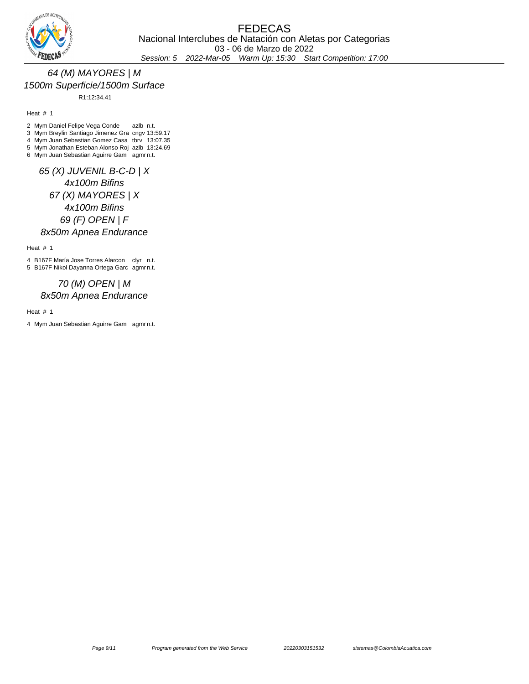

# 64 (M) MAYORES | M 1500m Superficie/1500m Surface

R1:12:34.41

Heat # 1

2 Mym Daniel Felipe Vega Conde azlb n.t.

3 Mym Breylin Santiago Jimenez Gra cngv 13:59.17

4 Mym Juan Sebastian Gomez Casa tbrv 13:07.35

5 Mym Jonathan Esteban Alonso Roj azlb 13:24.69 6 Mym Juan Sebastian Aguirre Gam agmr n.t.

65 (X) JUVENIL B-C-D | X 4x100m Bifins 67 (X) MAYORES | X 4x100m Bifins 69 (F) OPEN | F 8x50m Apnea Endurance

Heat # 1

4 B167F María Jose Torres Alarcon clyr n.t. 5 B167F Nikol Dayanna Ortega Garc agmr n.t.

## 70 (M) OPEN | M 8x50m Apnea Endurance

Heat # 1

4 Mym Juan Sebastian Aguirre Gam agmr n.t.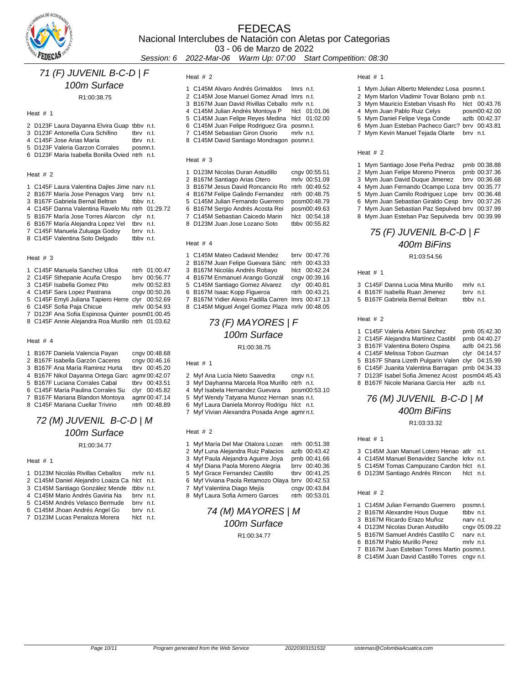

03 - 06 de Marzo de 2022

Session: 6 2022-Mar-06 Warm Up: 07:00 Start Competition: 08:30

# 71 (F) JUVENIL B-C-D | F

### 100m Surface

R1:00:38.75

### Heat # 1

| 2 D123F Laura Dayanna Elvira Guap tbby n.t.    |          |  |
|------------------------------------------------|----------|--|
| 3 D123F Antonella Cura Schifino                | thry nt  |  |
| 4 C145F Jose Arias María                       | thry nt  |  |
| 5 D123F Valeria Garzon Corrales                | posmn.t. |  |
| 6 D123F Maria Isabella Bonilla Ovied ntrh n.t. |          |  |
|                                                |          |  |

### Heat # 2

| 1 C145F Laura Valentina Dailes Jime nary n.t.   |           |      |
|-------------------------------------------------|-----------|------|
| 2 B167F María Jose Penagos Varq                 | brry n.t. |      |
| 3 B167F Gabriela Bernal Beltran                 | thby n.t. |      |
| 4 C145F Danna Valentina Ravelo Mu ntrh 01:29.72 |           |      |
| 5 B167F María Jose Torres Alarcon               | clvr      | n.t. |
| 6 B167F María Alejandra Lopez Vel               | tbry n.t. |      |
| 7 C145F Manuela Zuluaga Godoy                   | brry n.t. |      |
| 8 C145F Valentina Soto Delgado                  | tbby n.t. |      |

### Heat # 3

| 1 C145F Manuela Sanchez Ulloa                     | ntrh 01:00.47 |
|---------------------------------------------------|---------------|
| 2 C145F Sthepanie Acuña Crespo                    | brrv 00:56.77 |
| 3 C145F Isabella Gomez Pito                       | mrlv 00:52.83 |
| 4 C145F Sara Lopez Pastrana                       | cngv 00:50.26 |
| 5 C145F Emyli Juliana Tapiero Herre clyr 00:52.69 |               |
| 6 C145F Sofia Paja Chicue                         | mrlv 00:54.93 |
| 7 D123F Ana Sofia Espinosa Quinter posm01:00.45   |               |
| 8 C145F Annie Alejandra Roa Murillo ntrh 01:03.62 |               |
|                                                   |               |

### Heat # 4

| 1 B167F Daniela Valencia Payan                  | cngv 00:48.68 |
|-------------------------------------------------|---------------|
| 2 B167F Isabella Garzón Caceres                 | cngv 00:46.16 |
| 3 B167F Ana María Ramirez Hurta                 | tbrv 00:45.20 |
| 4 B167F Nikol Dayanna Ortega Garc agmr 00:42.07 |               |
| 5 B167F Luciana Corrales Cabal                  | tbrv 00:43.51 |
| 6 C145F María Paulina Corrales Su               | clyr 00:45.82 |
| 7 B167F Mariana Blandon Montoya                 | agmr 00:47.14 |

C145F Mariana Cuellar Trivino ntrh 00:48.89

# 72 (M) JUVENIL B-C-D | M 100m Surface

R1:00:34.77

### Heat # 1

| 1 D123M Nicolás Rivillas Ceballos            | mrly n.t. |  |
|----------------------------------------------|-----------|--|
| 2 C145M Daniel Alejandro Loaiza Ca hlct n.t. |           |  |
| 3 C145M Santiago González Mende tbby n.t.    |           |  |
| 4 C145M Mario Andrés Gaviria Na              | brry n.t. |  |
| 5 C145M Andrés Velasco Bermude               | brry n.t. |  |
| 6 C145M Jhoan Andrés Angel Go                | brry n.t. |  |
| 7 D123M Lucas Penaloza Morera                | hict nt   |  |

### Heat # 2

| 1 C145M Alvaro Andrés Grimaldos Imrs n.t.      |  |
|------------------------------------------------|--|
| 2 C145M Jose Manuel Gomez Amad Imrs n.t.       |  |
| 3 B167M Juan David Rivillas Ceballo mrly n.t.  |  |
| 4 C145M Julian Andrés Montoya P hlct 01:01.06  |  |
| 5 C145M Juan Felipe Reyes Medina hlct 01:02.00 |  |
| 6 C145M Juan Felipe Rodriquez Gra posmn.t.     |  |
| 7 C145M Sebastian Giron Osorio mrlv n.t.       |  |
| 8 C145M David Santiago Mondragon posmn.t.      |  |
|                                                |  |

#### Heat # 3

| 1 D123M Nicolas Duran Astudillo  | cngv 00:55.51 |
|----------------------------------|---------------|
| 2 B167M Santiago Arias Otero     | mrlv 00:51.09 |
| 3 B167M Jesus David Roncancio Ro | ntrh 00:49.52 |
| 4 B167M Felipe Galindo Fernandez | ntrh 00:48.75 |
| 5 C145M Julian Fernando Guerrero | posm00:48.79  |
| 6 B167M Sergio Andrés Acosta Rei | posm00:49.63  |
| 7 C145M Sebastian Caicedo Marin  | hlct 00:54.18 |
| 8 D123M Juan Jose Lozano Soto    | tbby 00:55.82 |
|                                  |               |

### Heat # 4

| 1 C145M Mateo Cadavid Mendez                       | brry 00:47.76 |
|----------------------------------------------------|---------------|
| 2 B167M Juan Felipe Guevara Sánc                   | ntrh 00:43.33 |
| 3 B167M Nicolás Andrés Robayo                      | hlct 00:42.24 |
| 4 B167M Enmanuel Arango Gonzál                     | cngv 00:39.16 |
| 5 C145M Santiago Gomez Alvarez                     | clyr 00:40.81 |
| 6 B167M Isaac Kopp Figueroa                        | ntrh 00:43.21 |
| 7 B167M Yidier Alexis Padilla Carren Imrs 00:47.13 |               |
| 8 C145M Miquel Angel Gomez Plaza mrlv 00:48.05     |               |

### 73 (F) MAYORES | F 100m Surface R1:00:38.75

#### Heat # 1

| 2 Myf Ana Lucia Nieto Saavedra | cngv n.t. |
|--------------------------------|-----------|
|                                |           |

- Myf Dayhanna Marcela Roa Murillo ntrh n.t.
- Myf Isabela Hernandez Guevara posm00:53.10
- Myf Wendy Tatyana Munoz Hernan snas n.t.
- Myf Laura Daniela Monroy Rodrigu hlct n.t.
- Myf Vivian Alexandra Posada Ange agmr n.t.

### Heat # 2

| 1 Myf María Del Mar Otalora Lozan                | ntrh 00:51.38 |
|--------------------------------------------------|---------------|
| 2 Myf Luna Alejandra Ruiz Palacios               | azlb 00:43.42 |
| 3 Myf Paula Alejandra Aquirre Joya               | prnb 00:41.66 |
| 4 Myf Diana Paola Moreno Alegria                 | brrv 00:40.36 |
| 5 Myf Grace Fernandez Castillo                   | tbrv 00:41.25 |
| 6 Myf Viviana Paola Retamozo Olaya brrv 00:42.53 |               |
| 7 Myf Valentina Diago Mejía                      | cngv 00:43.84 |
| 8 Myf Laura Sofia Armero Garces                  | ntrh 00:53.01 |

# 74 (M) MAYORES | M 100m Surface

R1:00:34.77

### Heat # 1

| 1 Mym Julian Alberto Melendez Losa posmn.t.    |               |
|------------------------------------------------|---------------|
| 2 Mym Marlon Vladimir Tovar Bolano prnb n.t.   |               |
| 3 Mym Mauricio Esteban Visash Ro hlct 00:43.76 |               |
| 4 Mym Juan Pablo Ruiz Celvs                    | posm00:42.00  |
| 5 Mym Daniel Felipe Vega Conde                 | azlb 00:42.37 |
| 6 Mym Juan Esteban Pacheco Garc? brrv 00:43.81 |               |
| 7 Mym Kevin Manuel Tejada Olarte brrv n.t.     |               |
|                                                |               |
|                                                |               |

### Heat # 2

| 1 Mym Santiago Jose Peña Pedraz                 | prnb 00:38.88 |
|-------------------------------------------------|---------------|
| 2 Mym Juan Felipe Moreno Pineros                | prnb 00:37.36 |
| 3 Mym Juan David Duque Jimenez                  | brry 00:36.68 |
| 4 Mym Juan Fernando Ocampo Loza brrv 00:35.77   |               |
| 5 Mym Juan Camilo Rodriguez Lope brrv 00:36.48  |               |
| 6 Mym Juan Sebastian Giraldo Cesp brrv 00:37.26 |               |
| 7 Mym Juan Sebastian Paz Sepulved brrv 00:37.99 |               |
| 8 Mym Juan Esteban Paz Sepulveda brrv 00:39.99  |               |

# 75 (F) JUVENIL B-C-D | F 400m BiFins

R1:03:54.56

### Heat # 1

| 3 .C145F Danna Lucia Mina Murillo | mrly n.t. |  |
|-----------------------------------|-----------|--|
| 4 B167F Isabella Ruan Jimenez     | brry n.t. |  |
| 5 B167F Gabriela Bernal Beltran   | the n.t.  |  |

### Heat # 2

| 1 C145F Valeria Arbini Sánchez                    | prnb 05:42.30 |
|---------------------------------------------------|---------------|
| 2 C145F Alejandra Martínez Castibl                | prnb 04:40.27 |
| 3 B167F Valentina Botero Ospina                   | azlb 04:21.56 |
| 4 C145F Melissa Tobon Guzman                      | clyr 04:14.57 |
| 5 B167F Shara Lizeth Pulgarin Valen clyr 04:15.99 |               |
| 6 C145F Juanita Valentina Barragan prnb 04:34.33  |               |
| 7 D123F Isabel Sofia Jimenez Acost posm04:45.43   |               |
| 8 B167F Nicole Mariana García Her azlb n.t.       |               |

### 76 (M) JUVENIL B-C-D | M 400m BiFins

#### R1:03:33.32

#### Heat # 1

| 3 C145M Juan Manuel Lotero Henao atlr n.t. |           |  |
|--------------------------------------------|-----------|--|
| 4 C145M Manuel Benavidez Sanche krky n.t.  |           |  |
| 5 C145M Tomas Campuzano Cardon hlct n.t.   |           |  |
| 6 D123M Santiago Andrés Rincon             | hict n.t. |  |

|  |  |  | 1 C145M Julian Fernando Guerrero | posmn.t. |
|--|--|--|----------------------------------|----------|
|  |  |  |                                  |          |

- 2 B167M Alexandre Hous Duque tbbv n.t.
- 3 B167M Ricardo Erazo Muñoz narv n.t.<br>4 D123M Nicolas Duran Astudillo cngv 05:09.22
- 4 D123M Nicolas Duran Astudillo B167M Samuel Andrés Castillo C narv n.t.
- B167M Pablo Murillo Perez mrlv n.t.
- B167M Juan Esteban Torres Martin posmn.t.
- C145M Juan David Castillo Torres cngv n.t.